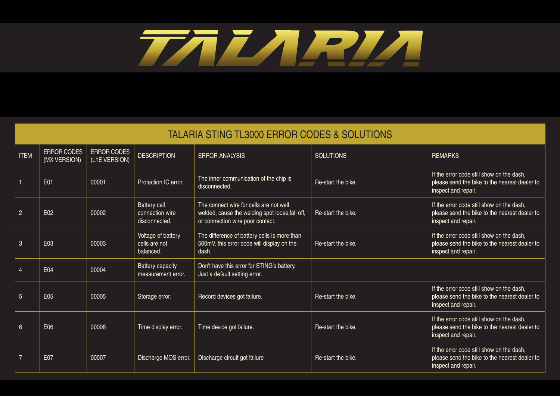## TALARIA

|                 | <b>TALARIA STING TL3000 ERROR CODES &amp; SOLUTIONS</b> |                              |                                                  |                                                                                                                                |                    |                                                                                                                   |  |  |
|-----------------|---------------------------------------------------------|------------------------------|--------------------------------------------------|--------------------------------------------------------------------------------------------------------------------------------|--------------------|-------------------------------------------------------------------------------------------------------------------|--|--|
| <b>ITEM</b>     | ERROR CODES<br>(MX VERSION)                             | ERROR CODES<br>(L1E VERSION) | <b>DESCRIPTION</b>                               | <b>ERROR ANALYSIS</b>                                                                                                          | <b>SOLUTIONS</b>   | <b>REMARKS</b>                                                                                                    |  |  |
|                 | E01                                                     | 00001                        | Protection IC error.                             | The inner communication of the chip is<br>disconnected.                                                                        | Re-start the bike. | If the error code still show on the dash,<br>please send the bike to the nearest dealer to<br>inspect and repair. |  |  |
| $\overline{2}$  | E02                                                     | 00002                        | Battery cell<br>connection wire<br>disconnected. | The connect wire for cells are not well<br>welded, cause the welding spot loose, fall off,<br>or connection wire poor contact. | Re-start the bike. | If the error code still show on the dash,<br>please send the bike to the nearest dealer to<br>inspect and repair. |  |  |
| $\mathbf{3}$    | E03                                                     | 00003                        | Voltage of battery<br>cells are not<br>balanced. | The difference of battery cells is more than<br>500mV, this error code will display on the<br>dash.                            | Re-start the bike. | If the error code still show on the dash,<br>please send the bike to the nearest dealer to<br>inspect and repair. |  |  |
|                 | E04                                                     | 00004                        | <b>Battery capacity</b><br>measurement error.    | Don't have this error for STING's battery.<br>Just a default setting error.                                                    |                    |                                                                                                                   |  |  |
| $5\phantom{.}$  | E05                                                     | 00005                        | Storage error.                                   | Record devices got failure.                                                                                                    | Re-start the bike. | If the error code still show on the dash,<br>please send the bike to the nearest dealer to<br>inspect and repair. |  |  |
| $6\phantom{.}6$ | E06                                                     | 00006                        | Time display error.                              | Time device got failure.                                                                                                       | Re-start the bike. | If the error code still show on the dash,<br>please send the bike to the nearest dealer to<br>inspect and repair. |  |  |
| $\overline{7}$  | <b>E07</b>                                              | 00007                        | Discharge MOS error.                             | Discharge circuit got failure                                                                                                  | Re-start the bike. | If the error code still show on the dash,<br>please send the bike to the nearest dealer to<br>inspect and repair. |  |  |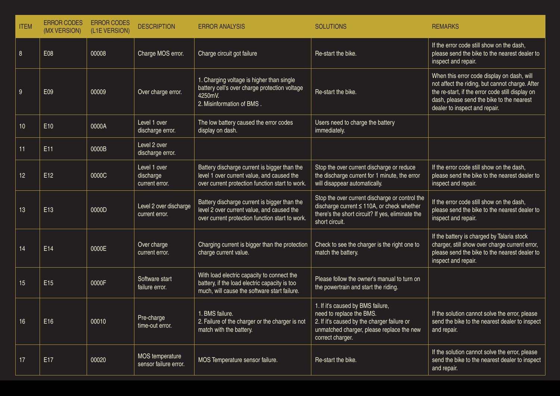| <b>ITEM</b> | <b>ERROR CODES</b><br>(MX VERSION) | <b>ERROR CODES</b><br>(L1E VERSION) | <b>DESCRIPTION</b>                          | <b>ERROR ANALYSIS</b>                                                                                                                         | <b>SOLUTIONS</b>                                                                                                                                                              | <b>REMARKS</b>                                                                                                                                                                                                                  |
|-------------|------------------------------------|-------------------------------------|---------------------------------------------|-----------------------------------------------------------------------------------------------------------------------------------------------|-------------------------------------------------------------------------------------------------------------------------------------------------------------------------------|---------------------------------------------------------------------------------------------------------------------------------------------------------------------------------------------------------------------------------|
| 8           | E08                                | 00008                               | Charge MOS error.                           | Charge circuit got failure                                                                                                                    | Re-start the bike.                                                                                                                                                            | If the error code still show on the dash,<br>please send the bike to the nearest dealer to<br>inspect and repair.                                                                                                               |
| 9           | E09                                | 00009                               | Over charge error.                          | 1. Charging voltage is higher than single<br>battery cell's over charge protection voltage<br>4250mV.<br>2. Misinformation of BMS.            | Re-start the bike.                                                                                                                                                            | When this error code display on dash, will<br>not affect the riding, but cannot charge. After<br>the re-start, if the error code still display on<br>dash, please send the bike to the nearest<br>dealer to inspect and repair. |
| 10          | E10                                | 0000A                               | Level 1 over<br>discharge error.            | The low battery caused the error codes<br>display on dash.                                                                                    | Users need to charge the battery<br>immediately.                                                                                                                              |                                                                                                                                                                                                                                 |
| 11          | E11                                | 0000B                               | Level 2 over<br>discharge error.            |                                                                                                                                               |                                                                                                                                                                               |                                                                                                                                                                                                                                 |
| 12          | E12                                | 0000C                               | Level 1 over<br>discharge<br>current error. | Battery discharge current is bigger than the<br>level 1 over current value, and caused the<br>over current protection function start to work. | Stop the over current discharge or reduce<br>the discharge current for 1 minute, the error<br>will disappear automatically.                                                   | If the error code still show on the dash,<br>please send the bike to the nearest dealer to<br>inspect and repair.                                                                                                               |
| 13          | E13                                | 0000D                               | Level 2 over discharge<br>current error.    | Battery discharge current is bigger than the<br>level 2 over current value, and caused the<br>over current protection function start to work. | Stop the over current discharge or control the<br>discharge current ≤ 110A, or check whether<br>there's the short circuit? If yes, eliminate the<br>short circuit.            | If the error code still show on the dash,<br>please send the bike to the nearest dealer to<br>inspect and repair.                                                                                                               |
| 14          | E14                                | 0000E                               | Over charge<br>current error.               | Charging current is bigger than the protection<br>charge current value.                                                                       | Check to see the charger is the right one to<br>match the battery.                                                                                                            | If the battery is charged by Talaria stock<br>charger, still show over charge current error,<br>please send the bike to the nearest dealer to<br>inspect and repair.                                                            |
| $15\,$      | E15                                | 0000F                               | Software start<br>failure error.            | With load electric capacity to connect the<br>battery, if the load electric capacity is too<br>much, will cause the software start failure.   | Please follow the owner's manual to turn on<br>the powertrain and start the riding.                                                                                           |                                                                                                                                                                                                                                 |
| 16          | E16                                | 00010                               | Pre-charge<br>time-out error.               | 1. BMS failure.<br>2. Failure of the charger or the charger is not<br>match with the battery.                                                 | 1. If it's caused by BMS failure,<br>need to replace the BMS.<br>2. If it's caused by the charger failure or<br>unmatched charger, please replace the new<br>correct charger. | If the solution cannot solve the error, please<br>send the bike to the nearest dealer to inspect<br>and repair.                                                                                                                 |
| 17          | E17                                | 00020                               | MOS temperature<br>sensor failure error.    | MOS Temperature sensor failure.                                                                                                               | Re-start the bike.                                                                                                                                                            | If the solution cannot solve the error, please<br>send the bike to the nearest dealer to inspect<br>and repair.                                                                                                                 |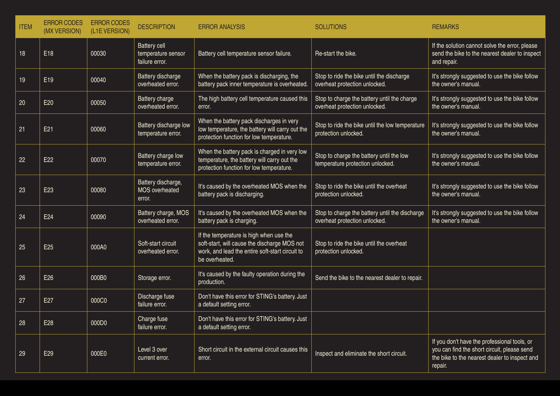| <b>ITEM</b> | <b>ERROR CODES</b><br>(MX VERSION) | <b>ERROR CODES</b><br>(L1E VERSION) | <b>DESCRIPTION</b>                                   | <b>ERROR ANALYSIS</b>                                                                                                                                        | <b>SOLUTIONS</b>                                                                | <b>REMARKS</b>                                                                                                                                          |
|-------------|------------------------------------|-------------------------------------|------------------------------------------------------|--------------------------------------------------------------------------------------------------------------------------------------------------------------|---------------------------------------------------------------------------------|---------------------------------------------------------------------------------------------------------------------------------------------------------|
| 18          | E18                                | 00030                               | Battery cell<br>temperature sensor<br>failure error. | Battery cell temperature sensor failure.                                                                                                                     | Re-start the bike.                                                              | If the solution cannot solve the error, please<br>send the bike to the nearest dealer to inspect<br>and repair.                                         |
| 19          | E <sub>19</sub>                    | 00040                               | Battery discharge<br>overheated error.               | When the battery pack is discharging, the<br>battery pack inner temperature is overheated.                                                                   | Stop to ride the bike until the discharge<br>overheat protection unlocked.      | It's strongly suggested to use the bike follow<br>the owner's manual.                                                                                   |
| 20          | E20                                | 00050                               | Battery charge<br>overheated error.                  | The high battery cell temperature caused this<br>error.                                                                                                      | Stop to charge the battery until the charge<br>overheat protection unlocked.    | It's strongly suggested to use the bike follow<br>the owner's manual.                                                                                   |
| 21          | E21                                | 00060                               | Battery discharge low<br>temperature error.          | When the battery pack discharges in very<br>low temperature, the battery will carry out the<br>protection function for low temperature.                      | Stop to ride the bike until the low temperature<br>protection unlocked.         | It's strongly suggested to use the bike follow<br>the owner's manual.                                                                                   |
| 22          | E <sub>22</sub>                    | 00070                               | Battery charge low<br>temperature error.             | When the battery pack is charged in very low<br>temperature, the battery will carry out the<br>protection function for low temperature.                      | Stop to charge the battery until the low<br>temperature protection unlocked.    | It's strongly suggested to use the bike follow<br>the owner's manual.                                                                                   |
| 23          | E <sub>23</sub>                    | 00080                               | Battery discharge,<br>MOS overheated<br>error.       | It's caused by the overheated MOS when the<br>battery pack is discharging.                                                                                   | Stop to ride the bike until the overheat<br>protection unlocked.                | It's strongly suggested to use the bike follow<br>the owner's manual.                                                                                   |
| 24          | E24                                | 00090                               | Battery charge, MOS<br>overheated error.             | It's caused by the overheated MOS when the<br>battery pack is charging.                                                                                      | Stop to charge the battery until the discharge<br>overheat protection unlocked. | It's strongly suggested to use the bike follow<br>the owner's manual.                                                                                   |
| 25          | E <sub>25</sub>                    | 000A0                               | Soft-start circuit<br>overheated error.              | If the temperature is high when use the<br>soft-start, will cause the discharge MOS not<br>work, and lead the entire soft-start circuit to<br>be overheated. | Stop to ride the bike until the overheat<br>protection unlocked.                |                                                                                                                                                         |
| 26          | E26                                | 000B0                               | Storage error.                                       | It's caused by the faulty operation during the<br>production.                                                                                                | Send the bike to the nearest dealer to repair.                                  |                                                                                                                                                         |
| 27          | E27                                | 000C0                               | Discharge fuse<br>failure error.                     | Don't have this error for STING's battery. Just<br>a default setting error.                                                                                  |                                                                                 |                                                                                                                                                         |
| 28          | E28                                | 000D0                               | Charge fuse<br>failure error.                        | Don't have this error for STING's battery. Just<br>a default setting error.                                                                                  |                                                                                 |                                                                                                                                                         |
| 29          | E29                                | 000E0                               | Level 3 over<br>current error.                       | Short circuit in the external circuit causes this<br>error.                                                                                                  | Inspect and eliminate the short circuit.                                        | If you don't have the professional tools, or<br>you can find the short circuit, please send<br>the bike to the nearest dealer to inspect and<br>repair. |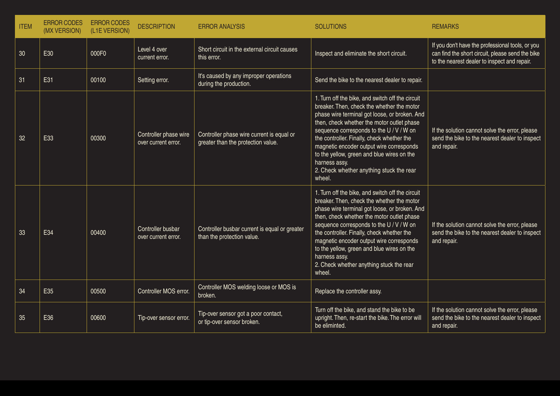| <b>ITEM</b> | <b>ERROR CODES</b><br>(MX VERSION) | <b>ERROR CODES</b><br>(L1E VERSION) | <b>DESCRIPTION</b>                           | <b>ERROR ANALYSIS</b>                                                           | <b>SOLUTIONS</b>                                                                                                                                                                                                                                                                                                                                                                                                                                         | <b>REMARKS</b>                                                                                                                                       |
|-------------|------------------------------------|-------------------------------------|----------------------------------------------|---------------------------------------------------------------------------------|----------------------------------------------------------------------------------------------------------------------------------------------------------------------------------------------------------------------------------------------------------------------------------------------------------------------------------------------------------------------------------------------------------------------------------------------------------|------------------------------------------------------------------------------------------------------------------------------------------------------|
| 30          | E30                                | 000F0                               | Level 4 over<br>current error.               | Short circuit in the external circuit causes<br>this error.                     | Inspect and eliminate the short circuit.                                                                                                                                                                                                                                                                                                                                                                                                                 | If you don't have the professional tools, or you<br>can find the short circuit, please send the bike<br>to the nearest dealer to inspect and repair. |
| 31          | E31                                | 00100                               | Setting error.                               | It's caused by any improper operations<br>during the production.                | Send the bike to the nearest dealer to repair.                                                                                                                                                                                                                                                                                                                                                                                                           |                                                                                                                                                      |
| 32          | E33                                | 00300                               | Controller phase wire<br>over current error. | Controller phase wire current is equal or<br>greater than the protection value. | 1. Turn off the bike, and switch off the circuit<br>breaker. Then, check the whether the motor<br>phase wire terminal got loose, or broken. And<br>then, check whether the motor outlet phase<br>sequence corresponds to the U / V / W on<br>the controller. Finally, check whether the<br>magnetic encoder output wire corresponds<br>to the yellow, green and blue wires on the<br>harness assy.<br>2. Check whether anything stuck the rear<br>wheel. | If the solution cannot solve the error, please<br>send the bike to the nearest dealer to inspect<br>and repair.                                      |
| 33          | E34                                | 00400                               | Controller busbar<br>over current error.     | Controller busbar current is equal or greater<br>than the protection value.     | 1. Turn off the bike, and switch off the circuit<br>breaker. Then, check the whether the motor<br>phase wire terminal got loose, or broken. And<br>then, check whether the motor outlet phase<br>sequence corresponds to the U / V / W on<br>the controller. Finally, check whether the<br>magnetic encoder output wire corresponds<br>to the yellow, green and blue wires on the<br>harness assy.<br>2. Check whether anything stuck the rear<br>wheel. | If the solution cannot solve the error, please<br>send the bike to the nearest dealer to inspect<br>and repair.                                      |
| 34          | E35                                | 00500                               | Controller MOS error.                        | Controller MOS welding loose or MOS is<br>broken.                               | Replace the controller assy.                                                                                                                                                                                                                                                                                                                                                                                                                             |                                                                                                                                                      |
| 35          | E36                                | 00600                               | Tip-over sensor error.                       | Tip-over sensor got a poor contact,<br>or tip-over sensor broken.               | Turn off the bike, and stand the bike to be<br>upright. Then, re-start the bike. The error will<br>be eliminted.                                                                                                                                                                                                                                                                                                                                         | If the solution cannot solve the error, please<br>send the bike to the nearest dealer to inspect<br>and repair.                                      |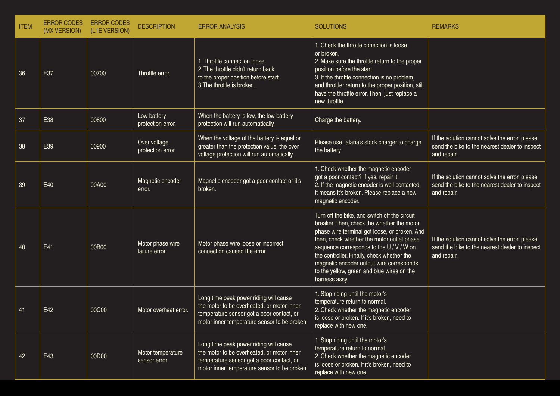| <b>ITEM</b> | <b>ERROR CODES</b><br>(MX VERSION) | <b>ERROR CODES</b><br>(L1E VERSION) | <b>DESCRIPTION</b>                 | <b>ERROR ANALYSIS</b>                                                                                                                                                             | <b>SOLUTIONS</b>                                                                                                                                                                                                                                                                                                                                                                                | <b>REMARKS</b>                                                                                                  |
|-------------|------------------------------------|-------------------------------------|------------------------------------|-----------------------------------------------------------------------------------------------------------------------------------------------------------------------------------|-------------------------------------------------------------------------------------------------------------------------------------------------------------------------------------------------------------------------------------------------------------------------------------------------------------------------------------------------------------------------------------------------|-----------------------------------------------------------------------------------------------------------------|
| 36          | E37                                | 00700                               | Throttle error.                    | 1. Throttle connection loose.<br>2. The throttle didn't return back<br>to the proper position before start.<br>3. The throttle is broken.                                         | 1. Check the throtte conection is loose<br>or broken.<br>2. Make sure the throttle return to the proper<br>position before the start.<br>3. If the throttle connection is no problem,<br>and throttler return to the proper position, still<br>have the throttle error. Then, just replace a<br>new throttle.                                                                                   |                                                                                                                 |
| 37          | E38                                | 00800                               | Low battery<br>protection error.   | When the battery is low, the low battery<br>protection will run automatically.                                                                                                    | Charge the battery.                                                                                                                                                                                                                                                                                                                                                                             |                                                                                                                 |
| 38          | E39                                | 00900                               | Over voltage<br>protection error   | When the voltage of the battery is equal or<br>greater than the protection value, the over<br>voltage protection will run automatically.                                          | Please use Talaria's stock charger to charge<br>the battery.                                                                                                                                                                                                                                                                                                                                    | If the solution cannot solve the error, please<br>send the bike to the nearest dealer to inspect<br>and repair. |
| 39          | E40                                | 00A00                               | Magnetic encoder<br>error.         | Magnetic encoder got a poor contact or it's<br>broken.                                                                                                                            | 1. Check whether the magnetic encoder<br>got a poor contact? If yes, repair it.<br>2. If the magnetic encoder is well contacted,<br>it means it's broken. Please replace a new<br>magnetic encoder.                                                                                                                                                                                             | If the solution cannot solve the error, please<br>send the bike to the nearest dealer to inspect<br>and repair. |
| 40          | E41                                | 00B00                               | Motor phase wire<br>failure error. | Motor phase wire loose or incorrect<br>connection caused the error                                                                                                                | Turn off the bike, and switch off the circuit<br>breaker. Then, check the whether the motor<br>phase wire terminal got loose, or broken. And<br>then, check whether the motor outlet phase<br>sequence corresponds to the U / V / W on<br>the controller. Finally, check whether the<br>magnetic encoder output wire corresponds<br>to the yellow, green and blue wires on the<br>harness assy. | If the solution cannot solve the error, please<br>send the bike to the nearest dealer to inspect<br>and repair. |
| 41          | E42                                | 00C00                               | Motor overheat error.              | Long time peak power riding will cause<br>the motor to be overheated, or motor inner<br>temperature sensor got a poor contact, or<br>motor inner temperature sensor to be broken. | 1. Stop riding until the motor's<br>temperature return to normal.<br>2. Check whether the magnetic encoder<br>is loose or broken. If it's broken, need to<br>replace with new one.                                                                                                                                                                                                              |                                                                                                                 |
| 42          | E43                                | 00D00                               | Motor temperature<br>sensor error. | Long time peak power riding will cause<br>the motor to be overheated, or motor inner<br>temperature sensor got a poor contact, or<br>motor inner temperature sensor to be broken. | 1. Stop riding until the motor's<br>temperature return to normal.<br>2. Check whether the magnetic encoder<br>is loose or broken. If it's broken, need to<br>replace with new one.                                                                                                                                                                                                              |                                                                                                                 |